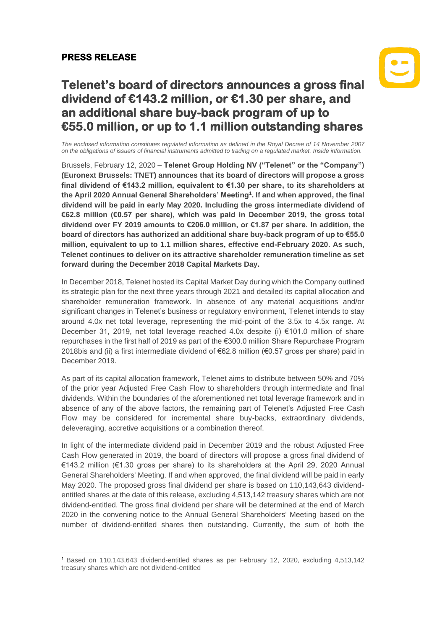## **PRESS RELEASE**



## **Telenet's board of directors announces a gross final dividend of €143.2 million, or €1.30 per share, and an additional share buy-back program of up to €55.0 million, or up to 1.1 million outstanding shares**

*The enclosed information constitutes regulated information as defined in the Royal Decree of 14 November 2007 on the obligations of issuers of financial instruments admitted to trading on a regulated market. Inside information.*

Brussels, February 12, 2020 – **Telenet Group Holding NV ("Telenet" or the "Company") (Euronext Brussels: TNET) announces that its board of directors will propose a gross final dividend of €143.2 million, equivalent to €1.30 per share, to its shareholders at the April 2020 Annual General Shareholders' Meeting<sup>1</sup> . If and when approved, the final dividend will be paid in early May 2020. Including the gross intermediate dividend of €62.8 million (€0.57 per share), which was paid in December 2019, the gross total dividend over FY 2019 amounts to €206.0 million, or €1.87 per share. In addition, the board of directors has authorized an additional share buy-back program of up to €55.0 million, equivalent to up to 1.1 million shares, effective end-February 2020. As such, Telenet continues to deliver on its attractive shareholder remuneration timeline as set forward during the December 2018 Capital Markets Day.**

In December 2018, Telenet hosted its Capital Market Day during which the Company outlined its strategic plan for the next three years through 2021 and detailed its capital allocation and shareholder remuneration framework. In absence of any material acquisitions and/or significant changes in Telenet's business or regulatory environment, Telenet intends to stay around 4.0x net total leverage, representing the mid-point of the 3.5x to 4.5x range. At December 31, 2019, net total leverage reached 4.0x despite (i) €101.0 million of share repurchases in the first half of 2019 as part of the €300.0 million Share Repurchase Program 2018bis and (ii) a first intermediate dividend of €62.8 million (€0.57 gross per share) paid in December 2019.

As part of its capital allocation framework, Telenet aims to distribute between 50% and 70% of the prior year Adjusted Free Cash Flow to shareholders through intermediate and final dividends. Within the boundaries of the aforementioned net total leverage framework and in absence of any of the above factors, the remaining part of Telenet's Adjusted Free Cash Flow may be considered for incremental share buy-backs, extraordinary dividends, deleveraging, accretive acquisitions or a combination thereof.

In light of the intermediate dividend paid in December 2019 and the robust Adjusted Free Cash Flow generated in 2019, the board of directors will propose a gross final dividend of €143.2 million (€1.30 gross per share) to its shareholders at the April 29, 2020 Annual General Shareholders' Meeting. If and when approved, the final dividend will be paid in early May 2020. The proposed gross final dividend per share is based on 110,143,643 dividendentitled shares at the date of this release, excluding 4,513,142 treasury shares which are not dividend-entitled. The gross final dividend per share will be determined at the end of March 2020 in the convening notice to the Annual General Shareholders' Meeting based on the number of dividend-entitled shares then outstanding. Currently, the sum of both the

<sup>1</sup> Based on 110,143,643 dividend-entitled shares as per February 12, 2020, excluding 4,513,142 treasury shares which are not dividend-entitled